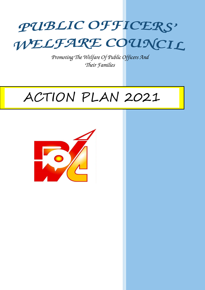# PUBLIC OFFICERS' WELFARE COUNCIL

*Promoting The Welfare Of Public Officers And Their Families*

# ACTION PLAN 2021

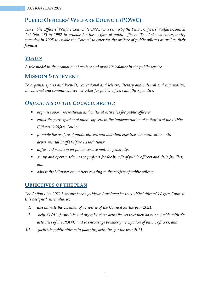## **PUBLIC OFFICERS' WELFARE COUNCIL (POWC)**

*The Public Officers' Welfare Council (POWC) was set up by the Public Officers' Welfare Council Act (No. 28) in 1992 to provide for the welfare of public officers. The Act was subsequently amended in 1995 to enable the Council to cater for the welfare of public officers as well as their families.*

## *VISION*

*A role model in the promotion of welfare and work life balance in the public service.*

## **MISSION STATEMENT**

*To organise sports and keep-fit, recreational and leisure, literary and cultural and informative, educational and communicative activities for public officers and their families.*

## *OBJECTIVES OF THE COUNCIL ARE TO:*

- *organise sport, recreational and cultural activities for public officers;*
- *enlist the participation of public officers in the implementation of activities of the Public Officers' Welfare Council;*
- *promote the welfare of public officers and maintain effective communication with departmental Staff Welfare Associations;*
- *diffuse information on public service matters generally;*
- set up and operate schemes or projects for the benefit of public officers and their families; *and*
- *advise the Minister on matters relating to the welfare of public officers.*

## **OBJECTIVES OF THE PLAN**

*The Action Plan 2021 is meant to be a guide and roadmap for the Public Officers' Welfare Council. It is designed, inter alia, to:* 

- *I. disseminate the calendar of activities of the Council for the year 2021;*
- *II. help SWA's formulate and organise their activities so that they do not coincide with the activities of the POWC and to encourage broader participation of public officers; and*
- *III. facilitate public officers in planning activities for the year 2021.*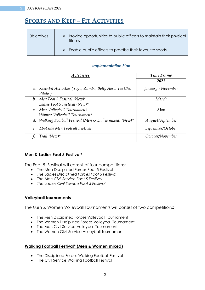# **SPORTS AND KEEP – FIT ACTIVITIES**

| <b>Objectives</b> | $\triangleright$ Provide opportunities to public officers to maintain their physical<br>fitness |
|-------------------|-------------------------------------------------------------------------------------------------|
|                   | $\triangleright$ Enable public officers to practise their favourite sports                      |

#### *Implementation Plan*

| <b>Activities</b>                                         | <b>Time Frame</b>  |
|-----------------------------------------------------------|--------------------|
|                                                           | 2021               |
| a. Keep-Fit Activities (Yoga, Zumba, Bolly Aero, Tai Chi, | January - November |
| Pilates)                                                  |                    |
| b. Men Foot 5 Festival (New)*                             | March              |
| Ladies Foot 5 Festival (New)*                             |                    |
| c. Men Volleyball Tournaments                             | May                |
| Women Volleyball Tournament                               |                    |
| d. Walking Football Festival (Men & Ladies mixed) (New)*  | August/September   |
| 11-Aside Men Football Festival<br>$\ell$ .                | September/October  |
| Trail (New) $*$                                           | October/November   |

## **Men & Ladies Foot 5 Festival\***

The Foot 5 Festival will consist of four competitions:

- The Men Disciplined Forces Foot 5 Festival
- *The Ladies Disciplined Forces Foot 5 Festival*
- *The Men Civil Service Foot 5 Festival*
- *The Ladies Civil Service Foot 5 Festival*

### **Volleyball tournaments**

The Men & Women Volleyball Tournaments will consist of two competitions:

- The Men Disciplined Forces Volleyball Tournament
- The Women Disciplined Forces Volleyball Tournament
- The Men Civil Service Volleyball Tournament
- The Women Civil Service Volleyball Tournament

### **Walking Football Festival\* (Men & Women mixed)**

- The Disciplined Forces Walking Football Festival
- The Civil Service Walking Football Festival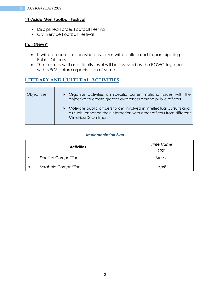## **11-Aside Men Football Festival**

- Disciplined Forces Football Festival
- Civil Service Football Festival

## **Trail (New)\***

- It will be a competition whereby prizes will be allocated to participating Public Officers.
- The track as well as difficulty level will be assessed by the POWC together with NPCS before organisation of same.

## **LITERARY AND CULTURAL ACTIVITIES**

| <b>Objectives</b> | $\triangleright$ Organise activities on specific current national issues with the<br>objective to create greater awareness among public officers                                           |
|-------------------|--------------------------------------------------------------------------------------------------------------------------------------------------------------------------------------------|
|                   | $\triangleright$ Motivate public officers to get involved in intellectual pursuits and,<br>as such, enhance their interaction with other officers from different<br>Ministries/Departments |

#### *Implementation Plan*

| <b>Activities</b> |                             | <b>Time Frame</b> |
|-------------------|-----------------------------|-------------------|
|                   |                             | 2021              |
| а.                | Domino Competition          | March             |
| b.                | <b>Scrabble Competition</b> | April             |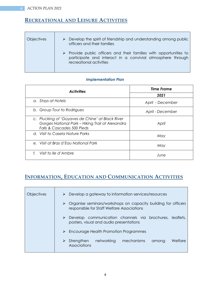## **RECREATIONAL AND LEISURE ACTIVITIES**

| <b>Objectives</b> | Develop the spirit of friendship and understanding among public<br>officers and their families                                                                             |
|-------------------|----------------------------------------------------------------------------------------------------------------------------------------------------------------------------|
|                   | $\triangleright$ Provide public officers and their families with opportunities to<br>participate and interact in a convivial atmosphere through<br>recreational activities |

#### *Implementation Plan*

| <b>Activities</b>                                                                                                                  | <b>Time Frame</b> |  |
|------------------------------------------------------------------------------------------------------------------------------------|-------------------|--|
|                                                                                                                                    | 2021              |  |
| a. Stays at Hotels                                                                                                                 | April - December  |  |
| b. Group Tour to Rodrigues                                                                                                         | April - December  |  |
| c. Plucking of 'Goyaves de Chine' at Black River<br>Gorges National Park - Hiking Trail at Alexandra<br>Falls & Cascades 500 Pieds | April             |  |
| d. Visit to Casela Nature Parks                                                                                                    | May               |  |
| e. Visit at Bras d'Eau National Park                                                                                               | May               |  |
| Visit to lle d'Ambre<br>$f_{\cdot}$                                                                                                | June              |  |

# **INFORMATION, EDUCATION AND COMMUNICATION ACTIVITIES**

| <b>Objectives</b> | Develop a gateway to information services/resources<br>➤                                                            |
|-------------------|---------------------------------------------------------------------------------------------------------------------|
|                   | Organise seminars/workshops on capacity building for officers<br>➤<br>responsible for Staff Welfare Associations    |
|                   | $\triangleright$ Develop communication channels via brochures, leaflets,<br>posters, visual and audio presentations |
|                   | $\triangleright$ Encourage Health Promotion Programmes                                                              |
|                   | networking<br>Welfare<br>mechanisms<br>Strengthen<br>among<br>Associations                                          |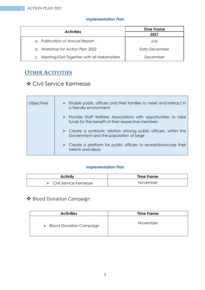## *Implementation Plan*

| <b>Activities</b>                             | Time Frame            |
|-----------------------------------------------|-----------------------|
|                                               | 2021                  |
| a. Publication of Annual Report               | July                  |
| b. Workshop for Action Plan 2022              | <b>Early December</b> |
| c. Meeting/Get Together with all stakeholders | December              |

# **OTHER ACTIVITIES**

# Civil Service Kermesse

| <b>Objectives</b> | $\triangleright$ Enable public officers and their families to meet and interact in<br>a friendly environment                         |
|-------------------|--------------------------------------------------------------------------------------------------------------------------------------|
|                   | $\triangleright$ Provide Staff Welfare Associations with opportunities to raise<br>funds for the benefit of their respective members |
|                   | $\triangleright$ Create a symbiotic relation among public officers, within the<br>Government and the population at large             |
|                   | $\triangleright$ Create a platform for public officers to reveal/showcase their<br>talents and ideas                                 |

### **Implementation Plan**

| <b>Activity</b>        | <b>Time Frame</b> |
|------------------------|-------------------|
| Civil Service Kermesse | November          |

# Blood Donation Campaign

| <b>Activities</b>                   | <b>Time Frame</b> |
|-------------------------------------|-------------------|
| <b>Blood Donation Campaign</b><br>➤ | November          |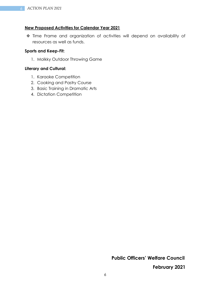#### **New Proposed Activities for Calendar Year 2021**

 Time Frame and organization of activities will depend on availability of resources as well as funds.

#### **Sports and Keep-Fit:**

1. Molkky Outdoor Throwing Game

### **Literary and Cultural:**

- 1. Karaoke Competition
- 2. Cooking and Pastry Course
- 3. Basic Training in Dramatic Arts
- 4. Dictation Competition

**Public Officers' Welfare Council**

**February 2021**